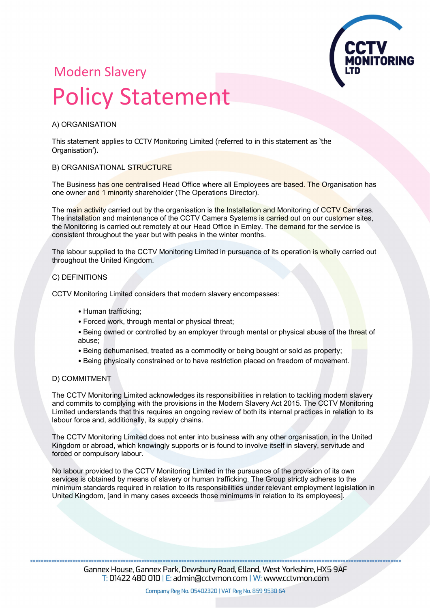

## Modern Slavery Policy Statement

#### A) ORGANISATION

This statement applies to CCTV Monitoring Limited (referred to in this statement as 'the Organisation<sup>'</sup>).

#### B) ORGANISATIONAL STRUCTURE

The Business has one centralised Head Office where all Employees are based. The Organisation has one owner and 1 minority shareholder (The Operations Director).

The main activity carried out by the organisation is the Installation and Monitoring of CCTV Cameras. The installation and maintenance of the CCTV Camera Systems is carried out on our customer sites, the Monitoring is carried out remotely at our Head Office in Emley. The demand for the service is consistent throughout the year but with peaks in the winter months.

The labour supplied to the CCTV Monitoring Limited in pursuance of its operation is wholly carried out throughout the United Kingdom.

#### C) DEFINITIONS

CCTV Monitoring Limited considers that modern slavery encompasses:

- Human trafficking;
- Forced work, through mental or physical threat;
- Being owned or controlled by an employer through mental or physical abuse of the threat of abuse;
- Being dehumanised, treated as a commodity or being bought or sold as property;
- Being physically constrained or to have restriction placed on freedom of movement.

#### D) COMMITMENT

The CCTV Monitoring Limited acknowledges its responsibilities in relation to tackling modern slavery and commits to complying with the provisions in the Modern Slavery Act 2015. The CCTV Monitoring Limited understands that this requires an ongoing review of both its internal practices in relation to its labour force and, additionally, its supply chains.

The CCTV Monitoring Limited does not enter into business with any other organisation, in the United Kingdom or abroad, which knowingly supports or is found to involve itself in slavery, servitude and forced or compulsory labour.

No labour provided to the CCTV Monitoring Limited in the pursuance of the provision of its own services is obtained by means of slavery or human trafficking. The Group strictly adheres to the minimum standards required in relation to its responsibilities under relevant employment legislation in United Kingdom, [and in many cases exceeds those minimums in relation to its employees].

Gannex House, Gannex Park, Dewsbury Road, Elland, West Yorkshire, HX5 9AF  $\overline{T}$ : 01422 480 010 | E: admin@cctvmon.com | W: www.cctvmon.com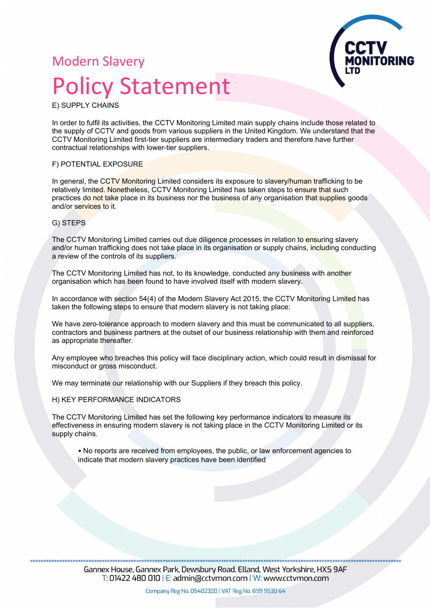## Modern Slavery Policy Statement



E) SUPPLY CHAINS

In order to fulfil its activities, the CCTV Monitoring Limited main supply chains include those related to the supply of CCTV and goods from various suppliers in the United Kingdom. We understand that the CCTV Monitoring Limited first-tier suppliers are intermediary traders and therefore have further contractual relationships with lower-tier suppliers.

#### F) POTENTIAL EXPOSURE

In general, the CCTV Monitoring Limited considers its exposure to slavery/human trafficking to be relatively limited. Nonetheless, CCTV Monitoring Limited has taken steps to ensure that such practices do not take place in its business nor the business of any organisation that supplies goods and/or services to it.

#### G) STEPS

The CCTV Monitoring Limited carries out due diligence processes in relation to ensuring slavery and/or human trafficking does not take place in its organisation or supply chains, including conducting a review of the controls of its suppliers.

The CCTV Monitoring Limited has not, to its knowledge, conducted any business with another organisation which has been found to have involved itself with modern slavery.

In accordance with section 54(4) of the Modern Slavery Act 2015, the CCTV Monitoring Limited has taken the following steps to ensure that modern slavery is not taking place:

We have zero-tolerance approach to modern slavery and this must be communicated to all suppliers. contractors and business partners at the outset of our business relationship with them and reinforced as appropriate thereafter.

Any employee who breaches this policy will face disciplinary action, which could result in dismissal for misconduct or gross misconduct.

We may terminate our relationship with our Suppliers if they breach this policy.

H) KEY PERFORMANCE INDICATORS

The CCTV Monitoring Limited has set the following key performance indicators to measure its effectiveness in ensuring modern slavery is not taking place in the CCTV Monitoring Limited or its supply chains.

• No reports are received from employees, the public, or law enforcement agencies to indicate that modern slavery practices have been identified